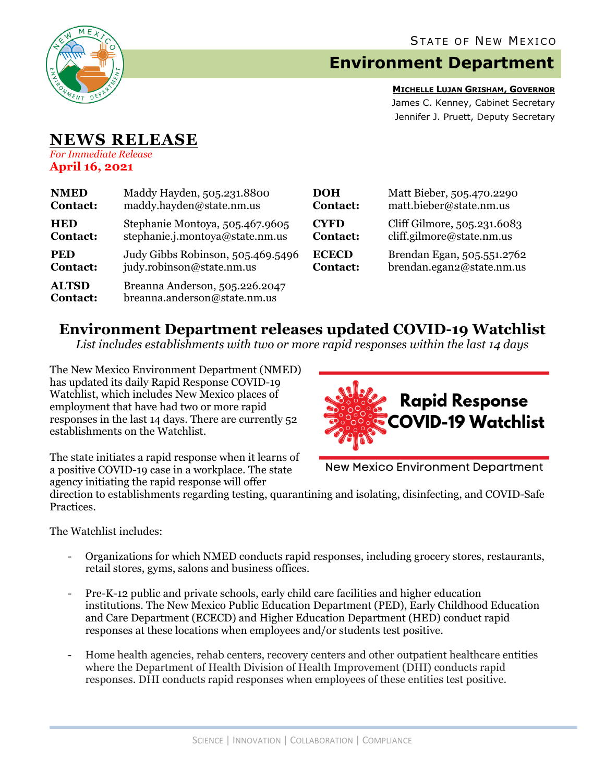

# **Environment Department**

**MICHELLE LUJAN GRISHAM, GOVERNOR** James C. Kenney, Cabinet Secretary Jennifer J. Pruett, Deputy Secretary

#### **NEWS RELEASE** *For Immediate Release*

**April 16, 2021**

| <b>NMED</b>                     | Maddy Hayden, 505.231.8800                                     | <b>DOH</b>      | Matt Bieber, 505.470.2290   |
|---------------------------------|----------------------------------------------------------------|-----------------|-----------------------------|
| <b>Contact:</b>                 | maddy.hayden@state.nm.us                                       | <b>Contact:</b> | matt.bieber@state.nm.us     |
| <b>HED</b>                      | Stephanie Montoya, 505.467.9605                                | <b>CYFD</b>     | Cliff Gilmore, 505.231.6083 |
| <b>Contact:</b>                 | stephanie.j.montoya@state.nm.us                                | <b>Contact:</b> | cliff.gilmore@state.nm.us   |
| <b>PED</b>                      | Judy Gibbs Robinson, 505.469.5496                              | <b>ECECD</b>    | Brendan Egan, 505.551.2762  |
| <b>Contact:</b>                 | judy.robinson@state.nm.us                                      | <b>Contact:</b> | brendan.egan2@state.nm.us   |
| <b>ALTSD</b><br><b>Contact:</b> | Breanna Anderson, 505.226.2047<br>breanna.anderson@state.nm.us |                 |                             |

# **Environment Department releases updated COVID-19 Watchlist**

*List includes establishments with two or more rapid responses within the last 14 days*

The New Mexico Environment Department (NMED) has updated its daily Rapid Response COVID-19 Watchlist, which includes New Mexico places of employment that have had two or more rapid responses in the last 14 days. There are currently 52 establishments on the Watchlist.



The state initiates a rapid response when it learns of a positive COVID-19 case in a workplace. The state agency initiating the rapid response will offer

**New Mexico Environment Department** 

direction to establishments regarding testing, quarantining and isolating, disinfecting, and COVID-Safe Practices.

The Watchlist includes:

- Organizations for which NMED conducts rapid responses, including grocery stores, restaurants, retail stores, gyms, salons and business offices.
- Pre-K-12 public and private schools, early child care facilities and higher education institutions. The New Mexico Public Education Department (PED), Early Childhood Education and Care Department (ECECD) and Higher Education Department (HED) conduct rapid responses at these locations when employees and/or students test positive.
- Home health agencies, rehab centers, recovery centers and other outpatient healthcare entities where the Department of Health Division of Health Improvement (DHI) conducts rapid responses. DHI conducts rapid responses when employees of these entities test positive.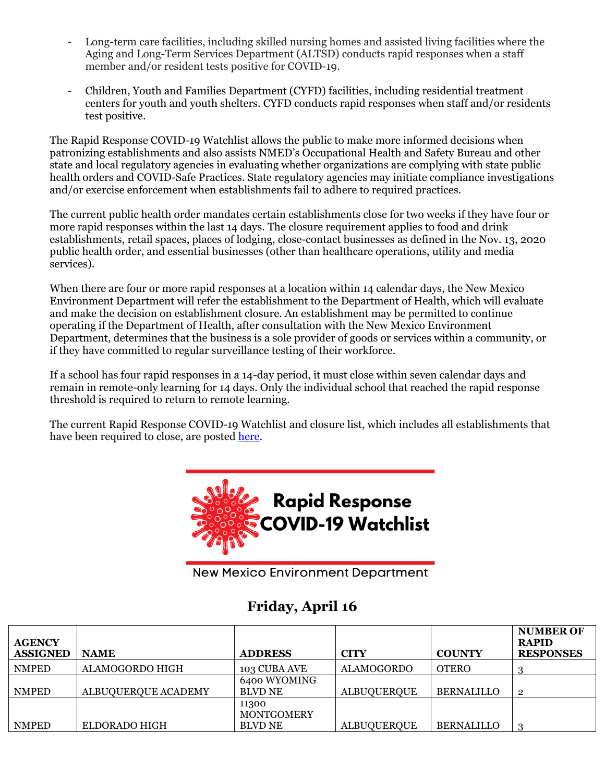- Long-term care facilities, including skilled nursing homes and assisted living facilities where the Aging and Long-Term Services Department (ALTSD) conducts rapid responses when a staff member and/or resident tests positive for COVID-19.
- Children, Youth and Families Department (CYFD) facilities, including residential treatment centers for youth and youth shelters. CYFD conducts rapid responses when staff and/or residents test positive.

The Rapid Response COVID-19 Watchlist allows the public to make more informed decisions when patronizing establishments and also assists NMED's Occupational Health and Safety Bureau and other state and local regulatory agencies in evaluating whether organizations are complying with state public health orders and COVID-Safe Practices. State regulatory agencies may initiate compliance investigations and/or exercise enforcement when establishments fail to adhere to required practices.

The current public health order mandates certain establishments close for two weeks if they have four or more rapid responses within the last 14 days. The closure requirement applies to food and drink establishments, retail spaces, places of lodging, close-contact businesses as defined in the Nov. 13, 2020 public health order, and essential businesses (other than healthcare operations, utility and media services).

When there are four or more rapid responses at a location within 14 calendar days, the New Mexico Environment Department will refer the establishment to the Department of Health, which will evaluate and make the decision on establishment closure. An establishment may be permitted to continue operating if the Department of Health, after consultation with the New Mexico Environment Department, determines that the business is a sole provider of goods or services within a community, or if they have committed to regular surveillance testing of their workforce.

If a school has four rapid responses in a 14-day period, it must close within seven calendar days and remain in remote-only learning for 14 days. Only the individual school that reached the rapid response threshold is required to return to remote learning.

The current Rapid Response COVID-19 Watchlist and closure list, which includes all establishments that have been required to close, are posted [here.](https://www.env.nm.gov/rapid-response-data/)



**New Mexico Environment Department** 

# **Friday, April 16**

| <b>AGENCY</b><br><b>ASSIGNED</b> | <b>NAME</b>         | <b>ADDRESS</b>                 | <b>CITY</b>        | <b>COUNTY</b>     | <b>NUMBER OF</b><br><b>RAPID</b><br><b>RESPONSES</b> |
|----------------------------------|---------------------|--------------------------------|--------------------|-------------------|------------------------------------------------------|
| <b>NMPED</b>                     | ALAMOGORDO HIGH     | 103 CUBA AVE                   | <b>ALAMOGORDO</b>  | <b>OTERO</b>      |                                                      |
| <b>NMPED</b>                     | ALBUQUERQUE ACADEMY | 6400 WYOMING<br><b>BLVD NE</b> | <b>ALBUQUERQUE</b> | <b>BERNALILLO</b> | $\overline{2}$                                       |
|                                  |                     | 11300<br><b>MONTGOMERY</b>     |                    |                   |                                                      |
| <b>NMPED</b>                     | ELDORADO HIGH       | <b>BLVD NE</b>                 | <b>ALBUOUEROUE</b> | <b>BERNALILLO</b> | ച                                                    |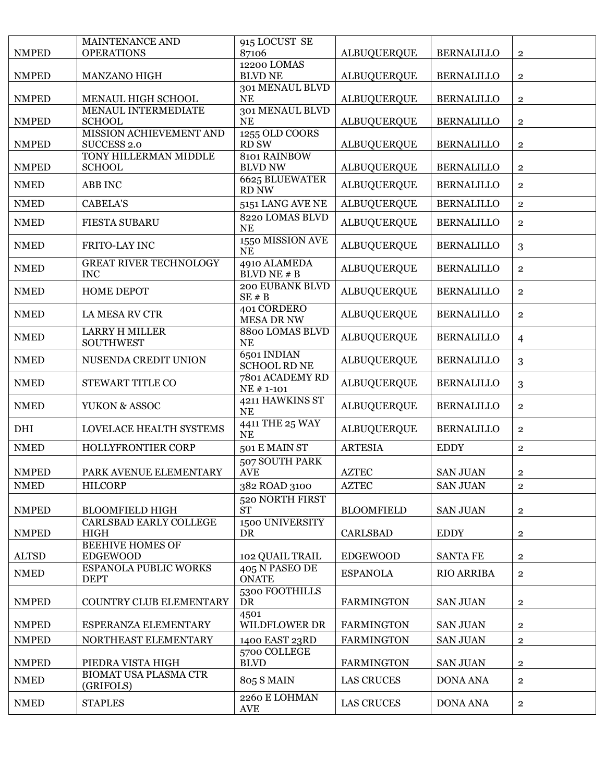|              | MAINTENANCE AND                             | 915 LOCUST SE                      |                    |                   |                |
|--------------|---------------------------------------------|------------------------------------|--------------------|-------------------|----------------|
| <b>NMPED</b> | <b>OPERATIONS</b>                           | 87106                              | <b>ALBUQUERQUE</b> | <b>BERNALILLO</b> | $\mathbf{2}$   |
| <b>NMPED</b> | MANZANO HIGH                                | 12200 LOMAS<br><b>BLVD NE</b>      | <b>ALBUQUERQUE</b> | <b>BERNALILLO</b> | $\mathbf{2}$   |
|              |                                             | 301 MENAUL BLVD                    |                    |                   |                |
| <b>NMPED</b> | MENAUL HIGH SCHOOL<br>MENAUL INTERMEDIATE   | <b>NE</b><br>301 MENAUL BLVD       | <b>ALBUQUERQUE</b> | <b>BERNALILLO</b> | $\mathbf 2$    |
| <b>NMPED</b> | <b>SCHOOL</b>                               | <b>NE</b>                          | <b>ALBUQUERQUE</b> | <b>BERNALILLO</b> | $\overline{2}$ |
| <b>NMPED</b> | MISSION ACHIEVEMENT AND<br>SUCCESS 2.0      | 1255 OLD COORS<br>RD SW            | <b>ALBUQUERQUE</b> | <b>BERNALILLO</b> | $\overline{2}$ |
| <b>NMPED</b> | TONY HILLERMAN MIDDLE<br><b>SCHOOL</b>      | 8101 RAINBOW<br><b>BLVD NW</b>     | <b>ALBUQUERQUE</b> | <b>BERNALILLO</b> | $\overline{2}$ |
| <b>NMED</b>  | <b>ABB INC</b>                              | 6625 BLUEWATER<br>RD NW            | <b>ALBUQUERQUE</b> | <b>BERNALILLO</b> | $\mathbf{2}$   |
| <b>NMED</b>  | <b>CABELA'S</b>                             | 5151 LANG AVE NE                   | <b>ALBUQUERQUE</b> | <b>BERNALILLO</b> | $\overline{2}$ |
| <b>NMED</b>  | <b>FIESTA SUBARU</b>                        | 8220 LOMAS BLVD<br><b>NE</b>       | <b>ALBUQUERQUE</b> | <b>BERNALILLO</b> | $\overline{2}$ |
| <b>NMED</b>  | FRITO-LAY INC                               | 1550 MISSION AVE<br><b>NE</b>      | <b>ALBUQUERQUE</b> | <b>BERNALILLO</b> | 3              |
| <b>NMED</b>  | <b>GREAT RIVER TECHNOLOGY</b><br><b>INC</b> | 4910 ALAMEDA<br>BLVD NE # B        | <b>ALBUQUERQUE</b> | <b>BERNALILLO</b> | $\overline{2}$ |
| <b>NMED</b>  | <b>HOME DEPOT</b>                           | 200 EUBANK BLVD<br>$SE \# B$       | <b>ALBUQUERQUE</b> | <b>BERNALILLO</b> | $\mathbf{2}$   |
| <b>NMED</b>  | <b>LA MESA RV CTR</b>                       | 401 CORDERO<br><b>MESA DR NW</b>   | <b>ALBUQUERQUE</b> | <b>BERNALILLO</b> | $\mathbf{2}$   |
| <b>NMED</b>  | <b>LARRY H MILLER</b><br><b>SOUTHWEST</b>   | 8800 LOMAS BLVD<br><b>NE</b>       | <b>ALBUQUERQUE</b> | <b>BERNALILLO</b> | $\overline{4}$ |
| <b>NMED</b>  | NUSENDA CREDIT UNION                        | 6501 INDIAN<br><b>SCHOOL RD NE</b> | <b>ALBUQUERQUE</b> | <b>BERNALILLO</b> | 3              |
| <b>NMED</b>  | STEWART TITLE CO                            | 7801 ACADEMY RD<br>NE # 1-101      | <b>ALBUQUERQUE</b> | <b>BERNALILLO</b> | 3              |
| <b>NMED</b>  | YUKON & ASSOC                               | 4211 HAWKINS ST<br><b>NE</b>       | <b>ALBUQUERQUE</b> | <b>BERNALILLO</b> | $\overline{2}$ |
| DHI          | LOVELACE HEALTH SYSTEMS                     | 4411 THE 25 WAY<br><b>NE</b>       | <b>ALBUQUERQUE</b> | <b>BERNALILLO</b> | $\overline{2}$ |
| <b>NMED</b>  | HOLLYFRONTIER CORP                          | 501 E MAIN ST                      | <b>ARTESIA</b>     | <b>EDDY</b>       | $\overline{2}$ |
| <b>NMPED</b> | PARK AVENUE ELEMENTARY                      | 507 SOUTH PARK<br><b>AVE</b>       | <b>AZTEC</b>       | <b>SAN JUAN</b>   | $\mathbf{2}$   |
| <b>NMED</b>  | <b>HILCORP</b>                              | 382 ROAD 3100                      | <b>AZTEC</b>       | <b>SAN JUAN</b>   | $\mathbf 2$    |
| <b>NMPED</b> | <b>BLOOMFIELD HIGH</b>                      | 520 NORTH FIRST<br><b>ST</b>       | <b>BLOOMFIELD</b>  | <b>SAN JUAN</b>   | $\overline{2}$ |
|              | <b>CARLSBAD EARLY COLLEGE</b>               | 1500 UNIVERSITY                    |                    |                   |                |
| <b>NMPED</b> | <b>HIGH</b><br><b>BEEHIVE HOMES OF</b>      | <b>DR</b>                          | <b>CARLSBAD</b>    | <b>EDDY</b>       | $\overline{2}$ |
| <b>ALTSD</b> | <b>EDGEWOOD</b>                             | 102 QUAIL TRAIL                    | <b>EDGEWOOD</b>    | <b>SANTA FE</b>   | $\overline{2}$ |
| <b>NMED</b>  | <b>ESPANOLA PUBLIC WORKS</b><br><b>DEPT</b> | 405 N PASEO DE<br><b>ONATE</b>     | <b>ESPANOLA</b>    | <b>RIO ARRIBA</b> | $\overline{2}$ |
| <b>NMPED</b> | <b>COUNTRY CLUB ELEMENTARY</b>              | 5300 FOOTHILLS<br>DR               | <b>FARMINGTON</b>  | <b>SAN JUAN</b>   | $\overline{2}$ |
| <b>NMPED</b> | ESPERANZA ELEMENTARY                        | 4501<br><b>WILDFLOWER DR</b>       | <b>FARMINGTON</b>  | <b>SAN JUAN</b>   | $\overline{2}$ |
| <b>NMPED</b> | NORTHEAST ELEMENTARY                        | 1400 EAST 23RD                     | <b>FARMINGTON</b>  | <b>SAN JUAN</b>   | $\mathbf 2$    |
| <b>NMPED</b> | PIEDRA VISTA HIGH                           | 5700 COLLEGE<br><b>BLVD</b>        | <b>FARMINGTON</b>  | <b>SAN JUAN</b>   | $\overline{2}$ |
| <b>NMED</b>  | <b>BIOMAT USA PLASMA CTR</b><br>(GRIFOLS)   | <b>805 S MAIN</b>                  | <b>LAS CRUCES</b>  | <b>DONA ANA</b>   | $\overline{2}$ |
| <b>NMED</b>  | <b>STAPLES</b>                              | 2260 E LOHMAN<br><b>AVE</b>        | <b>LAS CRUCES</b>  | <b>DONA ANA</b>   | $\overline{2}$ |